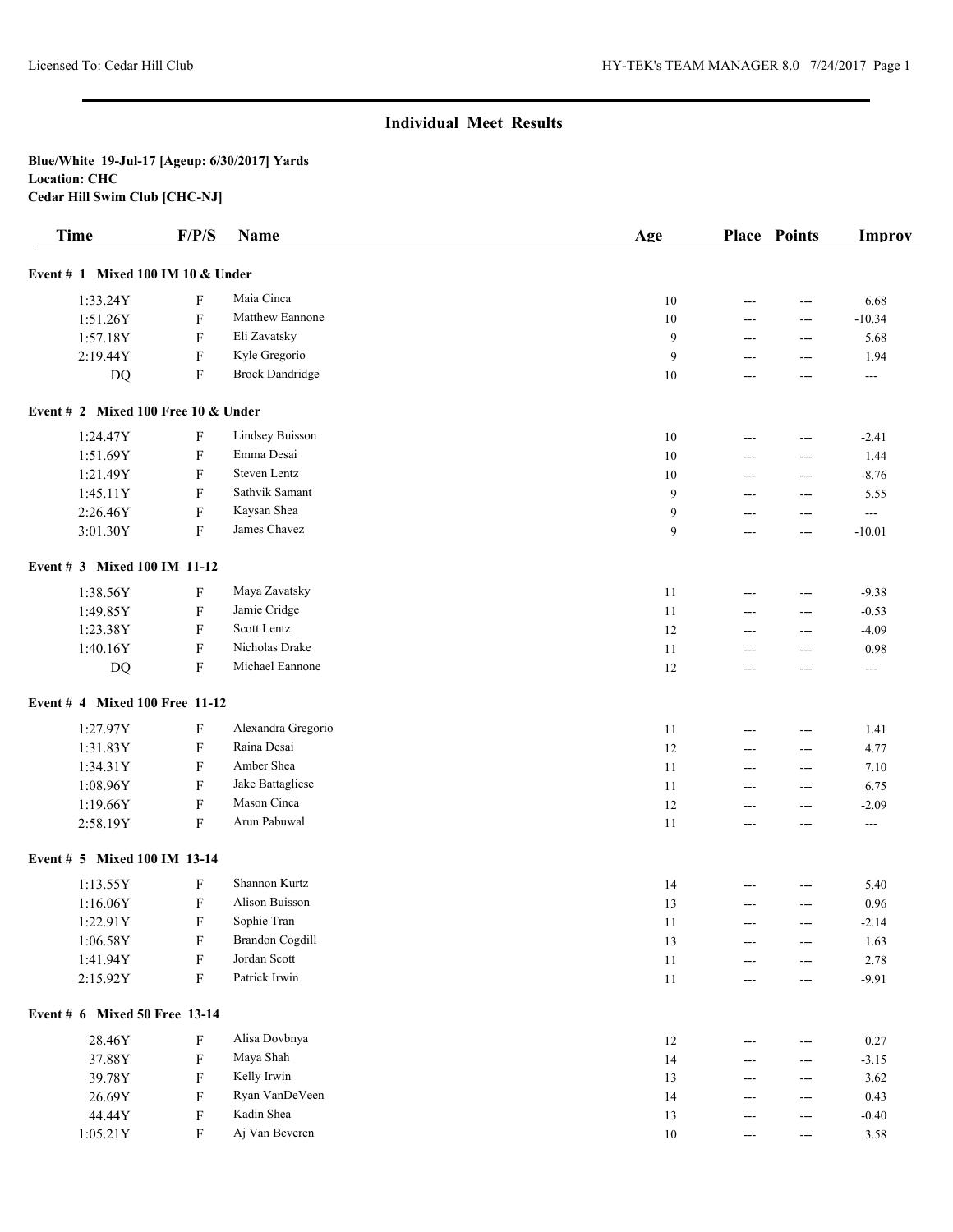| <b>Time</b>                           | F/P/S                     | <b>Name</b>            | Age    |                      | <b>Place Points</b>                    | <b>Improv</b>  |
|---------------------------------------|---------------------------|------------------------|--------|----------------------|----------------------------------------|----------------|
| Event $# 1$ Mixed 100 IM 10 & Under   |                           |                        |        |                      |                                        |                |
| 1:33.24Y                              | F                         | Maia Cinca             | 10     | ---                  | $--$                                   | 6.68           |
| 1:51.26Y                              | $\boldsymbol{\mathrm{F}}$ | Matthew Eannone        | 10     | ---                  | $\overline{a}$                         | $-10.34$       |
| 1:57.18Y                              | F                         | Eli Zavatsky           | 9      | ---                  | $\overline{a}$                         | 5.68           |
| 2:19.44Y                              | $\mathbf F$               | Kyle Gregorio          | 9      | ---                  | $\overline{a}$                         | 1.94           |
| DQ                                    | F                         | <b>Brock Dandridge</b> | 10     | ---                  | $\overline{a}$                         | $\overline{a}$ |
| Event # 2 Mixed 100 Free 10 $&$ Under |                           |                        |        |                      |                                        |                |
| 1:24.47Y                              | F                         | <b>Lindsey Buisson</b> | 10     | ---                  | ---                                    | $-2.41$        |
| 1:51.69Y                              | F                         | Emma Desai             | 10     | ---                  | $---$                                  | 1.44           |
| 1:21.49Y                              | F                         | Steven Lentz           | 10     | $---$                | $---$                                  | $-8.76$        |
| 1:45.11Y                              | F                         | Sathvik Samant         | 9      | $---$                | $---$                                  | 5.55           |
| 2:26.46Y                              | ${\bf F}$                 | Kaysan Shea            | 9      | ---                  | ---                                    | $-$            |
| 3:01.30Y                              | $\boldsymbol{\mathrm{F}}$ | James Chavez           | 9      | $---$                | $--$                                   | $-10.01$       |
| Event # 3 Mixed 100 IM 11-12          |                           |                        |        |                      |                                        |                |
| 1:38.56Y                              | F                         | Maya Zavatsky          | 11     | $---$                | $\overline{a}$                         | $-9.38$        |
| 1:49.85Y                              | F                         | Jamie Cridge           | 11     | $---$                | ---                                    | $-0.53$        |
| 1:23.38Y                              | F                         | Scott Lentz            | 12     | $---$                | ---                                    | $-4.09$        |
| 1:40.16Y                              | F                         | Nicholas Drake         | 11     | $---$                | ---                                    | 0.98           |
| DQ                                    | $\boldsymbol{\mathrm{F}}$ | Michael Eannone        | 12     | ---                  | $---$                                  | $\sim$ $\sim$  |
| Event # 4 Mixed 100 Free 11-12        |                           |                        |        |                      |                                        |                |
| 1:27.97Y                              | F                         | Alexandra Gregorio     | 11     | $---$                | $---$                                  | 1.41           |
| 1:31.83Y                              | $\boldsymbol{\mathrm{F}}$ | Raina Desai            | 12     | $\overline{a}$       | $\qquad \qquad \cdots$                 | 4.77           |
| 1:34.31Y                              | F                         | Amber Shea             | 11     | $\overline{a}$       | $--$                                   | 7.10           |
| 1:08.96Y                              | $\boldsymbol{\mathrm{F}}$ | Jake Battagliese       | 11     | $\overline{a}$       | $\overline{a}$                         | 6.75           |
| 1:19.66Y                              | $\boldsymbol{\mathrm{F}}$ | Mason Cinca            | 12     | $\overline{a}$       | $\overline{a}$                         | $-2.09$        |
| 2:58.19Y                              | F                         | Arun Pabuwal           | 11     | ---                  | $\overline{a}$                         | $\overline{a}$ |
| Event # 5 Mixed 100 IM 13-14          |                           |                        |        |                      |                                        |                |
| 1:13.55Y                              | F                         | Shannon Kurtz          | 14     |                      | $---$                                  | 5.40           |
| 1:16.06Y                              | F                         | Alison Buisson         | 13     | ---                  | $---$                                  | 0.96           |
| 1:22.91Y                              | F                         | Sophie Tran            | 11     | $---$                | ---                                    | $-2.14$        |
| 1:06.58Y                              | $\boldsymbol{\mathrm{F}}$ | <b>Brandon Cogdill</b> | 13     | $---$                | ---                                    | 1.63           |
| 1:41.94Y                              | ${\bf F}$                 | Jordan Scott           | $11\,$ | ---                  | $\qquad \qquad \cdots$                 | 2.78           |
| 2:15.92Y                              | ${\bf F}$                 | Patrick Irwin          | 11     | $\qquad \qquad -$    | $\hspace{0.05cm} \ldots$               | $-9.91$        |
| Event # 6 Mixed 50 Free 13-14         |                           |                        |        |                      |                                        |                |
| 28.46Y                                | F                         | Alisa Dovbnya          | 12     | $---$                | $\hspace{0.05cm} \ldots$               | 0.27           |
| 37.88Y                                | F                         | Maya Shah              | 14     | $---$                | $\qquad \qquad \cdots$                 | $-3.15$        |
| 39.78Y                                | F                         | Kelly Irwin            | 13     | $---$                | $---$                                  | 3.62           |
| 26.69Y                                | F                         | Ryan VanDeVeen         | 14     | $---$                | $\hspace{0.05cm} \ldots$               | 0.43           |
| 44.44Y                                | $\mathbf F$               | Kadin Shea             | 13     | $---$                | $---$                                  | $-0.40$        |
| 1:05.21Y                              | F                         | Aj Van Beveren         | $10\,$ | $\scriptstyle\cdots$ | $\scriptstyle\cdots\scriptstyle\cdots$ | 3.58           |
|                                       |                           |                        |        |                      |                                        |                |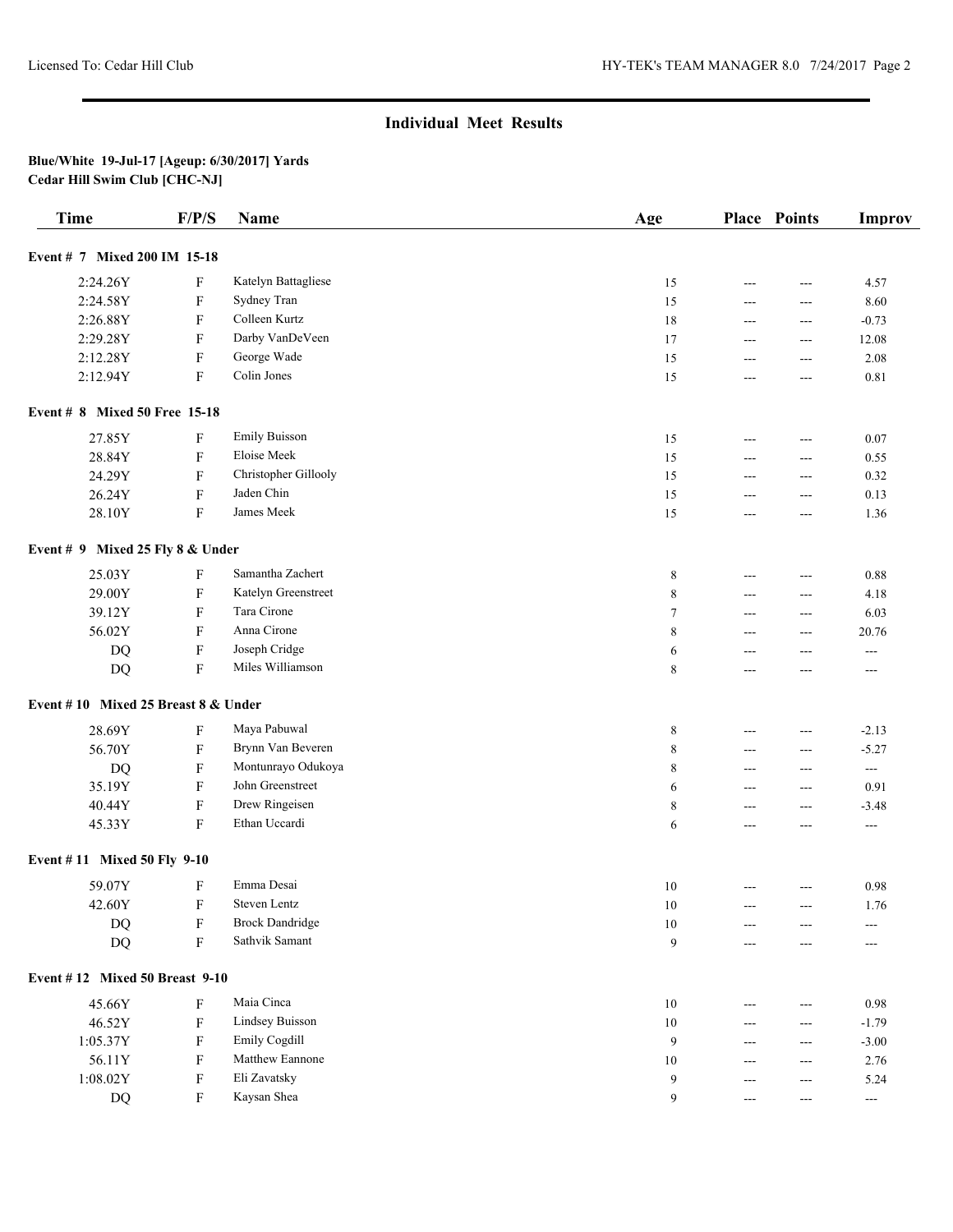| <b>Time</b>                           | F/P/S                     | <b>Name</b>            | Age     |                | <b>Place Points</b>  | <b>Improv</b>            |
|---------------------------------------|---------------------------|------------------------|---------|----------------|----------------------|--------------------------|
| Event # 7 Mixed 200 IM 15-18          |                           |                        |         |                |                      |                          |
| 2:24.26Y                              | F                         | Katelyn Battagliese    | 15      | ---            | $---$                | 4.57                     |
| 2:24.58Y                              | $\boldsymbol{\mathrm{F}}$ | Sydney Tran            | 15      | ---            | $\overline{a}$       | 8.60                     |
| 2:26.88Y                              | $\boldsymbol{\mathrm{F}}$ | Colleen Kurtz          | 18      | ---            | ---                  | $-0.73$                  |
| 2:29.28Y                              | $\boldsymbol{\mathrm{F}}$ | Darby VanDeVeen        | 17      | ---            | ---                  | 12.08                    |
| 2:12.28Y                              | $\boldsymbol{\mathrm{F}}$ | George Wade            | 15      | ---            | ---                  | 2.08                     |
| 2:12.94Y                              | $\boldsymbol{\mathrm{F}}$ | Colin Jones            | 15      | $\overline{a}$ | ---                  | 0.81                     |
| Event # 8 Mixed 50 Free 15-18         |                           |                        |         |                |                      |                          |
| 27.85Y                                | $\boldsymbol{\mathrm{F}}$ | <b>Emily Buisson</b>   | 15      | ---            | $ -$                 | 0.07                     |
| 28.84Y                                | $\mathbf F$               | Eloise Meek            | 15      | ---            | ---                  | 0.55                     |
| 24.29Y                                | $\boldsymbol{\mathrm{F}}$ | Christopher Gillooly   | 15      | ---            | ---                  | 0.32                     |
| 26.24Y                                | $\boldsymbol{\mathrm{F}}$ | Jaden Chin             | 15      | ---            | ---                  | 0.13                     |
| 28.10Y                                | F                         | James Meek             | 15      | ---            | ---                  | 1.36                     |
| Event # 9 Mixed 25 Fly 8 & Under      |                           |                        |         |                |                      |                          |
| 25.03Y                                | F                         | Samantha Zachert       | 8       | ---            | ---                  | 0.88                     |
| 29.00Y                                | $\boldsymbol{\mathrm{F}}$ | Katelyn Greenstreet    | 8       | $---$          | ---                  | 4.18                     |
| 39.12Y                                | F                         | Tara Cirone            | $\tau$  | $---$          | ---                  | 6.03                     |
| 56.02Y                                | F                         | Anna Cirone            | 8       | $---$          | ---                  | 20.76                    |
| DQ                                    | $\boldsymbol{\mathrm{F}}$ | Joseph Cridge          | 6       | ---            | ---                  | $\qquad \qquad -$        |
| DQ                                    | $\boldsymbol{\mathrm{F}}$ | Miles Williamson       | $\,8\,$ | $---$          | $---$                | ---                      |
| Event #10 Mixed 25 Breast 8 & Under   |                           |                        |         |                |                      |                          |
| 28.69Y                                | F                         | Maya Pabuwal           | $\,8\,$ | ---            | ---                  | $-2.13$                  |
| 56.70Y                                | $\boldsymbol{\mathrm{F}}$ | Brynn Van Beveren      | $\,8\,$ | ---            | ---                  | $-5.27$                  |
| DQ                                    | $\boldsymbol{\mathrm{F}}$ | Montunrayo Odukoya     | $\,8\,$ | ---            | ---                  | $\sim$ $\sim$            |
| 35.19Y                                | $\boldsymbol{\mathrm{F}}$ | John Greenstreet       | 6       | ---            | ---                  | 0.91                     |
| 40.44Y                                | $\boldsymbol{\mathrm{F}}$ | Drew Ringeisen         | $\,8\,$ | ---            | ---                  | $-3.48$                  |
| 45.33Y                                | F                         | Ethan Uccardi          | 6       | ---            | ---                  | ---                      |
| Event #11 Mixed 50 Fly 9-10           |                           |                        |         |                |                      |                          |
| 59.07Y                                | F                         | Emma Desai             | 10      | $---$          | $---$                | 0.98                     |
| 42.60Y                                | $\mathbf F$               | Steven Lentz           | $10\,$  |                |                      | 1.76                     |
| <b>DQ</b>                             | $\boldsymbol{\mathrm{F}}$ | <b>Brock Dandridge</b> | $10\,$  | $---$          | ---                  | ---                      |
| DQ                                    | $\boldsymbol{\mathrm{F}}$ | Sathvik Samant         | 9       | ---            | ---                  |                          |
| <b>Event #12 Mixed 50 Breast 9-10</b> |                           |                        |         |                |                      |                          |
| 45.66Y                                | F                         | Maia Cinca             | $10\,$  | ---            | ---                  | 0.98                     |
| 46.52Y                                | F                         | Lindsey Buisson        | $10\,$  | ---            | ---                  | $-1.79$                  |
| 1:05.37Y                              | F                         | Emily Cogdill          | 9       | ---            | ---                  | $-3.00$                  |
| 56.11Y                                | F                         | Matthew Eannone        | $10\,$  | ---            | ---                  | 2.76                     |
| 1:08.02Y                              | F                         | Eli Zavatsky           | 9       |                | ---                  | 5.24                     |
| <b>DQ</b>                             | F                         | Kaysan Shea            | 9       | $---$          | $\scriptstyle\cdots$ | $\hspace{0.05cm} \ldots$ |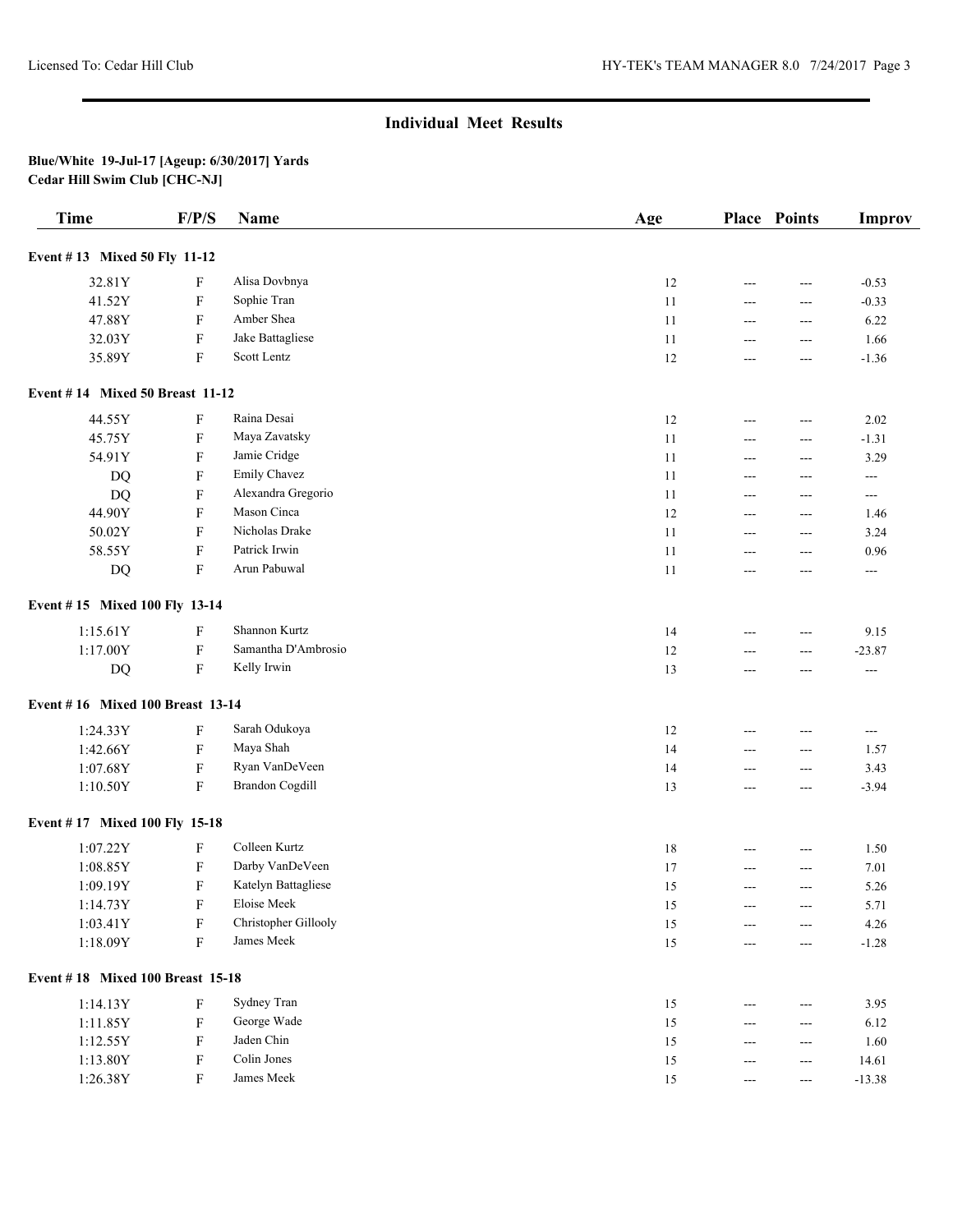| <b>Time</b>                      | F/P/S                     | Name                 | Age    |       | <b>Place Points</b>                    | <b>Improv</b>            |
|----------------------------------|---------------------------|----------------------|--------|-------|----------------------------------------|--------------------------|
| Event #13 Mixed 50 Fly 11-12     |                           |                      |        |       |                                        |                          |
| 32.81Y                           | F                         | Alisa Dovbnya        | 12     | ---   | $---$                                  | $-0.53$                  |
| 41.52Y                           | F                         | Sophie Tran          | 11     | ---   | ---                                    | $-0.33$                  |
| 47.88Y                           | $\boldsymbol{\mathrm{F}}$ | Amber Shea           | 11     | ---   | ---                                    | 6.22                     |
| 32.03Y                           | $\boldsymbol{\mathrm{F}}$ | Jake Battagliese     | 11     | ---   | ---                                    | 1.66                     |
| 35.89Y                           | $\boldsymbol{\mathrm{F}}$ | Scott Lentz          | 12     | ---   | ---                                    | $-1.36$                  |
| Event #14 Mixed 50 Breast 11-12  |                           |                      |        |       |                                        |                          |
| 44.55Y                           | $\boldsymbol{\mathrm{F}}$ | Raina Desai          | 12     | ---   | $ -$                                   | 2.02                     |
| 45.75Y                           | $\boldsymbol{\mathrm{F}}$ | Maya Zavatsky        | 11     | ---   | $ -$                                   | $-1.31$                  |
| 54.91Y                           | F                         | Jamie Cridge         | 11     | ---   | ---                                    | 3.29                     |
| <b>DQ</b>                        | $\boldsymbol{\mathrm{F}}$ | Emily Chavez         | 11     | ---   | ---                                    | $--$                     |
| <b>DQ</b>                        | $\boldsymbol{\mathrm{F}}$ | Alexandra Gregorio   | 11     | ---   | ---                                    | $--$                     |
| 44.90Y                           | $\boldsymbol{\mathrm{F}}$ | Mason Cinca          | 12     | ---   | $---$                                  | 1.46                     |
| 50.02Y                           | $\boldsymbol{\mathrm{F}}$ | Nicholas Drake       | 11     | ---   | ---                                    | 3.24                     |
| 58.55Y                           | $\mathbf F$               | Patrick Irwin        | 11     | ---   | ---                                    | 0.96                     |
| DQ                               | $\boldsymbol{\mathrm{F}}$ | Arun Pabuwal         | 11     | ---   | ---                                    | ---                      |
| Event #15 Mixed 100 Fly 13-14    |                           |                      |        |       |                                        |                          |
| 1:15.61Y                         | F                         | Shannon Kurtz        | 14     | $---$ | $---$                                  | 9.15                     |
| 1:17.00Y                         | $\boldsymbol{\mathrm{F}}$ | Samantha D'Ambrosio  | 12     | ---   | ---                                    | $-23.87$                 |
| DQ                               | $\boldsymbol{\mathrm{F}}$ | Kelly Irwin          | 13     | ---   | $---$                                  | $\hspace{0.05cm} \ldots$ |
| Event #16 Mixed 100 Breast 13-14 |                           |                      |        |       |                                        |                          |
| 1:24.33Y                         | F                         | Sarah Odukoya        | 12     | ---   | ---                                    | $\overline{\phantom{a}}$ |
| 1:42.66Y                         | $\boldsymbol{\mathrm{F}}$ | Maya Shah            | 14     | ---   | ---                                    | 1.57                     |
| 1:07.68Y                         | $\boldsymbol{\mathrm{F}}$ | Ryan VanDeVeen       | 14     | ---   | ---                                    | 3.43                     |
| 1:10.50Y                         | $\boldsymbol{\mathrm{F}}$ | Brandon Cogdill      | 13     | ---   | ---                                    | $-3.94$                  |
| Event #17 Mixed 100 Fly 15-18    |                           |                      |        |       |                                        |                          |
| 1:07.22Y                         | $\boldsymbol{\mathrm{F}}$ | Colleen Kurtz        | 18     | $---$ | ---                                    | 1.50                     |
| 1:08.85Y                         | $\boldsymbol{\mathrm{F}}$ | Darby VanDeVeen      | 17     | ---   | $ -$                                   | 7.01                     |
| 1:09.19Y                         | F                         | Katelyn Battagliese  | 15     | ---   | ---                                    | 5.26                     |
| 1:14.73Y                         | F                         | Eloise Meek          | 15     |       |                                        | 5.71                     |
| 1:03.41Y                         | F                         | Christopher Gillooly | 15     | ---   | $\qquad \qquad -$                      | 4.26                     |
| 1:18.09Y                         | ${\bf F}$                 | James Meek           | $15\,$ | ---   | ---                                    | $-1.28$                  |
| Event #18 Mixed 100 Breast 15-18 |                           |                      |        |       |                                        |                          |
| 1:14.13Y                         | F                         | Sydney Tran          | 15     |       | $---$                                  | 3.95                     |
| 1:11.85Y                         | F                         | George Wade          | 15     | ---   | $\qquad \qquad -$                      | 6.12                     |
| 1:12.55Y                         | F                         | Jaden Chin           | 15     | ---   | $\qquad \qquad -$                      | 1.60                     |
| 1:13.80Y                         | $\boldsymbol{\mathrm{F}}$ | Colin Jones          | 15     |       | ---                                    | 14.61                    |
| 1:26.38Y                         | F                         | James Meek           | $15\,$ | ---   | $\scriptstyle\cdots\scriptstyle\cdots$ | $-13.38$                 |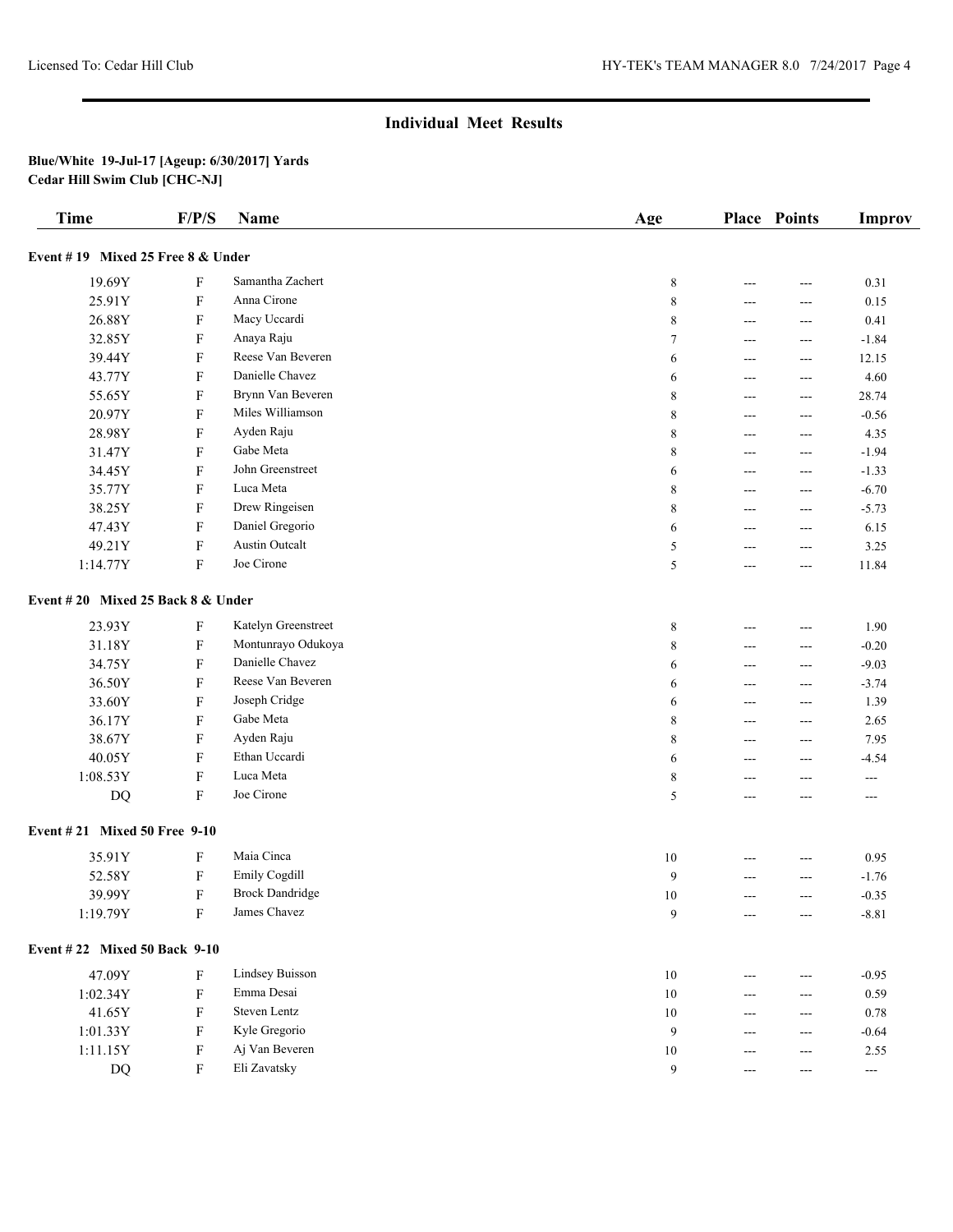| <b>Time</b>                       | F/P/S                     | <b>Name</b>            | Age    |     | <b>Place Points</b> | <b>Improv</b>         |
|-----------------------------------|---------------------------|------------------------|--------|-----|---------------------|-----------------------|
| Event #19 Mixed 25 Free 8 & Under |                           |                        |        |     |                     |                       |
| 19.69Y                            | F                         | Samantha Zachert       | 8      | --- | ---                 | 0.31                  |
| 25.91Y                            | $\boldsymbol{\mathrm{F}}$ | Anna Cirone            | 8      | --- | ---                 | 0.15                  |
| 26.88Y                            | $\boldsymbol{\mathrm{F}}$ | Macy Uccardi           | 8      | --- | ---                 | 0.41                  |
| 32.85Y                            | $\boldsymbol{\mathrm{F}}$ | Anaya Raju             | 7      | --- | ---                 | $-1.84$               |
| 39.44Y                            | $\boldsymbol{\mathrm{F}}$ | Reese Van Beveren      | 6      | --- | ---                 | 12.15                 |
| 43.77Y                            | $\boldsymbol{\mathrm{F}}$ | Danielle Chavez        | 6      | --- | ---                 | 4.60                  |
| 55.65Y                            | $\boldsymbol{\mathrm{F}}$ | Brynn Van Beveren      | 8      | --- | ---                 | 28.74                 |
| 20.97Y                            | $\boldsymbol{\mathrm{F}}$ | Miles Williamson       | 8      | --- | ---                 | $-0.56$               |
| 28.98Y                            | $\boldsymbol{\mathrm{F}}$ | Ayden Raju             | 8      | --- | ---                 | 4.35                  |
| 31.47Y                            | $\boldsymbol{\mathrm{F}}$ | Gabe Meta              | 8      | --- | ---                 | $-1.94$               |
| 34.45Y                            | $\boldsymbol{\mathrm{F}}$ | John Greenstreet       | 6      | --- | ---                 | $-1.33$               |
| 35.77Y                            | $\boldsymbol{\mathrm{F}}$ | Luca Meta              | 8      | --- | ---                 | $-6.70$               |
| 38.25Y                            | $\boldsymbol{\mathrm{F}}$ | Drew Ringeisen         | 8      | --- | ---                 | $-5.73$               |
| 47.43Y                            | $\boldsymbol{\mathrm{F}}$ | Daniel Gregorio        | 6      | --- | ---                 | 6.15                  |
| 49.21Y                            | $\boldsymbol{\mathrm{F}}$ | <b>Austin Outcalt</b>  | 5      | --- | ---                 | 3.25                  |
| 1:14.77Y                          | $\mathbf F$               | Joe Cirone             | 5      | --- | ---                 | 11.84                 |
| Event #20 Mixed 25 Back 8 & Under |                           |                        |        |     |                     |                       |
| 23.93Y                            | F                         | Katelyn Greenstreet    | 8      | --- | ---                 | 1.90                  |
| 31.18Y                            | $\boldsymbol{\mathrm{F}}$ | Montunrayo Odukoya     | 8      | --- | ---                 | $-0.20$               |
| 34.75Y                            | F                         | Danielle Chavez        | 6      | --- | ---                 | $-9.03$               |
| 36.50Y                            | F                         | Reese Van Beveren      | 6      | --- | ---                 | $-3.74$               |
| 33.60Y                            | F                         | Joseph Cridge          | 6      | --- | ---                 | 1.39                  |
| 36.17Y                            | F                         | Gabe Meta              | 8      | --- | ---                 | 2.65                  |
| 38.67Y                            | $\boldsymbol{\mathrm{F}}$ | Ayden Raju             | 8      | --- | ---                 | 7.95                  |
| 40.05Y                            | $\boldsymbol{\mathrm{F}}$ | Ethan Uccardi          | 6      | --- | ---                 | $-4.54$               |
| 1:08.53Y                          | $\boldsymbol{\mathrm{F}}$ | Luca Meta              | 8      | --- | ---                 | $\sim$ $\sim$         |
| DQ                                | F                         | Joe Cirone             | 5      | --- | ---                 | $\scriptstyle \cdots$ |
| Event #21 Mixed 50 Free 9-10      |                           |                        |        |     |                     |                       |
| 35.91Y                            | F                         | Maia Cinca             | 10     | --- | ---                 | 0.95                  |
| 52.58Y                            | ${\bf F}$                 | Emily Cogdill          | 9      | --- | ---                 | $-1.76$               |
| 39.99Y                            | $\boldsymbol{\mathrm{F}}$ | <b>Brock Dandridge</b> | 10     | --- | ---                 | $-0.35$               |
| 1:19.79Y                          | F                         | James Chavez           | 9      | --- | ---                 | $-8.81$               |
| Event #22 Mixed 50 Back 9-10      |                           |                        |        |     |                     |                       |
| 47.09Y                            | F                         | Lindsey Buisson        | $10\,$ | --- | ---                 | $-0.95$               |
| 1:02.34Y                          | ${\rm F}$                 | Emma Desai             | $10\,$ | --- | ---                 | 0.59                  |
| 41.65Y                            | ${\rm F}$                 | Steven Lentz           | $10\,$ | --- | ---                 | 0.78                  |
| 1:01.33Y                          | ${\rm F}$                 | Kyle Gregorio          | 9      | --- | ---                 | $-0.64$               |
| 1:11.15Y                          | ${\rm F}$                 | Aj Van Beveren         | $10\,$ | --- | ---                 | 2.55                  |
| $\mathbf{D}\mathbf{Q}$            | $\boldsymbol{\mathrm{F}}$ | Eli Zavatsky           | 9      | --- | ---                 | $\sim$ $\sim$         |